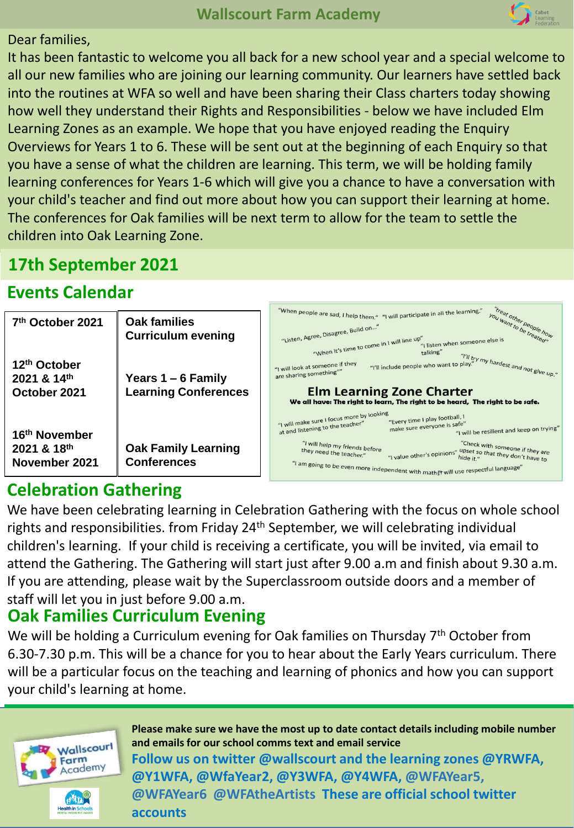

#### Dear families,

It has been fantastic to welcome you all back for a new school year and a special welcome to all our new families who are joining our learning community. Our learners have settled back into the routines at WFA so well and have been sharing their Class charters today showing how well they understand their Rights and Responsibilities - below we have included Elm Learning Zones as an example. We hope that you have enjoyed reading the Enquiry Overviews for Years 1 to 6. These will be sent out at the beginning of each Enquiry so that you have a sense of what the children are learning. This term, we will be holding family learning conferences for Years 1-6 which will give you a chance to have a conversation with your child's teacher and find out more about how you can support their learning at home. The conferences for Oak families will be next term to allow for the team to settle the children into Oak Learning Zone.

## **17th September 2021**

### **Events Calendar**

| 7 <sup>th</sup> October 2021                                              | Oak families<br><b>Curriculum evening</b>           | " you want to be the how<br>"When people are sad, I help them," "I will participate in all the learning."<br>"Listen, Agree, Disagree, Build on"<br>"When it's time to come in I will line up"<br>"I listen when someone else is                                                                                                                                                                                                                |  |  |  |
|---------------------------------------------------------------------------|-----------------------------------------------------|-------------------------------------------------------------------------------------------------------------------------------------------------------------------------------------------------------------------------------------------------------------------------------------------------------------------------------------------------------------------------------------------------------------------------------------------------|--|--|--|
| 12th October<br>2021 & 14th<br>October 2021                               | Years $1 - 6$ Family<br><b>Learning Conferences</b> | talking"<br>"I'll try my hardest and not give up."<br>"I will look at someone if they<br>"I'll include people who want to play."<br>are sharing something""<br><b>Elm Learning Zone Charter</b><br>We all have: The right to learn, The right to be heard, The right to be safe.                                                                                                                                                                |  |  |  |
| 16 <sup>th</sup> November<br>$2021$ & $18$ <sup>th</sup><br>November 2021 | <b>Oak Family Learning</b><br><b>Conferences</b>    | "I will make sure I focus more by looking<br>"Every time I play football, I<br>make sure everyone is safe"<br>at and listening to the teacher"<br>"I will be resilient and keep on trying"<br>"Check with someone if they are<br>"I will help my friends before<br>they need the teacher."<br>"I value other's opinions" upset so that they don't have to<br>"I am going to be even more independent with maths't will use respectful language" |  |  |  |

# **Celebration Gathering**

We have been celebrating learning in Celebration Gathering with the focus on whole school rights and responsibilities. from Friday 24<sup>th</sup> September, we will celebrating individual children's learning. If your child is receiving a certificate, you will be invited, via email to attend the Gathering. The Gathering will start just after 9.00 a.m and finish about 9.30 a.m. If you are attending, please wait by the Superclassroom outside doors and a member of staff will let you in just before 9.00 a.m.

### **Oak Families Curriculum Evening**

We will be holding a Curriculum evening for Oak families on Thursday  $7<sup>th</sup>$  October from 6.30-7.30 p.m. This will be a chance for you to hear about the Early Years curriculum. There will be a particular focus on the teaching and learning of phonics and how you can support your child's learning at home.



**Please make sure we have the most up to date contact details including mobile number and emails for our school comms text and email service Follow us on twitter @wallscourt and the learning zones @YRWFA, @Y1WFA, @WfaYear2, @Y3WFA, @Y4WFA, @WFAYear5, @WFAYear6 @WFAtheArtists These are official school twitter accounts**